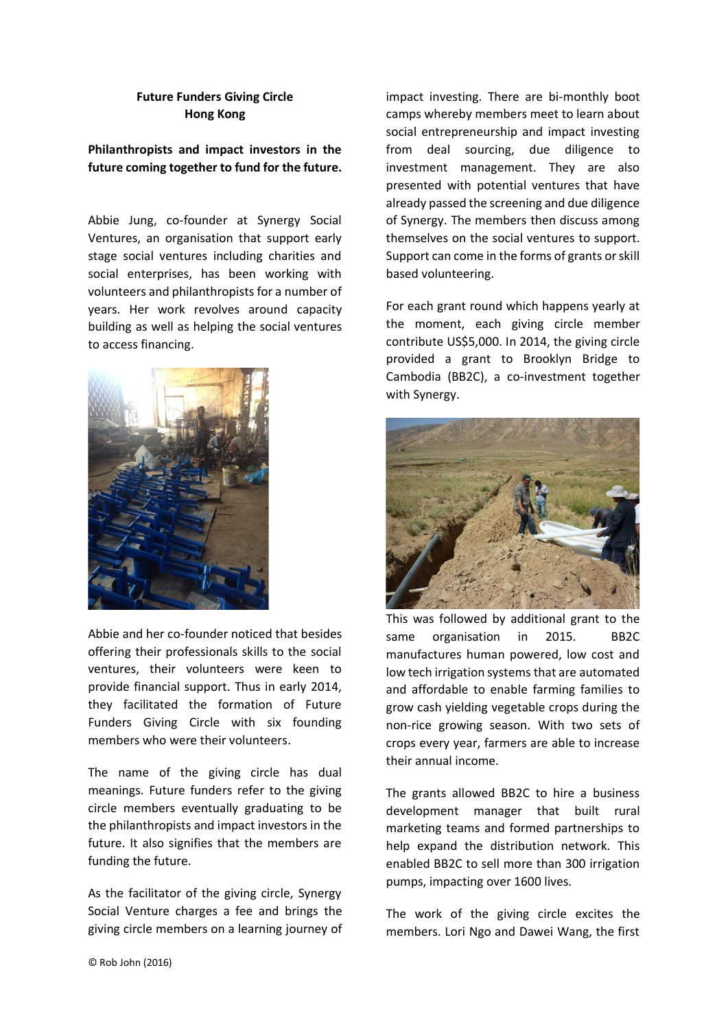## **Future Funders Giving Circle Hong Kong**

## **Philanthropists and impact investors in the future coming together to fund for the future.**

Abbie Jung, co-founder at Synergy Social Ventures, an organisation that support early stage social ventures including charities and social enterprises, has been working with volunteers and philanthropists for a number of years. Her work revolves around capacity building as well as helping the social ventures to access financing.



Abbie and her co-founder noticed that besides offering their professionals skills to the social ventures, their volunteers were keen to provide financial support. Thus in early 2014, they facilitated the formation of Future Funders Giving Circle with six founding members who were their volunteers.

The name of the giving circle has dual meanings. Future funders refer to the giving circle members eventually graduating to be the philanthropists and impact investors in the future. It also signifies that the members are funding the future.

As the facilitator of the giving circle, Synergy Social Venture charges a fee and brings the giving circle members on a learning journey of impact investing. There are bi-monthly boot camps whereby members meet to learn about social entrepreneurship and impact investing from deal sourcing, due diligence to investment management. They are also presented with potential ventures that have already passed the screening and due diligence of Synergy. The members then discuss among themselves on the social ventures to support. Support can come in the forms of grants or skill based volunteering.

For each grant round which happens yearly at the moment, each giving circle member contribute US\$5,000. In 2014, the giving circle provided a grant to Brooklyn Bridge to Cambodia (BB2C), a co-investment together with Synergy.



This was followed by additional grant to the same organisation in 2015. BB2C manufactures human powered, low cost and low tech irrigation systems that are automated and affordable to enable farming families to grow cash yielding vegetable crops during the non-rice growing season. With two sets of crops every year, farmers are able to increase their annual income.

The grants allowed BB2C to hire a business development manager that built rural marketing teams and formed partnerships to help expand the distribution network. This enabled BB2C to sell more than 300 irrigation pumps, impacting over 1600 lives.

The work of the giving circle excites the members. Lori Ngo and Dawei Wang, the first